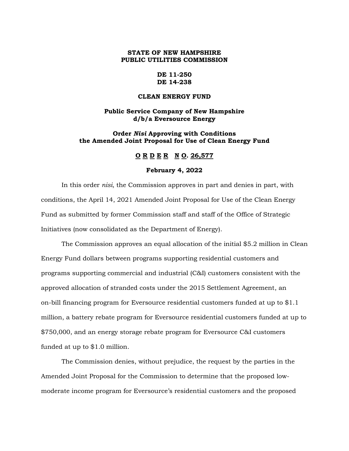## **STATE OF NEW HAMPSHIRE PUBLIC UTILITIES COMMISSION**

### **DE 11-250 DE 14-238**

#### **CLEAN ENERGY FUND**

## **Public Service Company of New Hampshire d/b/a Eversource Energy**

### **Order** *Nisi* **Approving with Conditions the Amended Joint Proposal for Use of Clean Energy Fund**

## **O R D E R N O. 26,577**

#### **February 4, 2022**

In this order *nisi*, the Commission approves in part and denies in part, with conditions, the April 14, 2021 Amended Joint Proposal for Use of the Clean Energy Fund as submitted by former Commission staff and staff of the Office of Strategic Initiatives (now consolidated as the Department of Energy).

The Commission approves an equal allocation of the initial \$5.2 million in Clean Energy Fund dollars between programs supporting residential customers and programs supporting commercial and industrial (C&I) customers consistent with the approved allocation of stranded costs under the 2015 Settlement Agreement, an on-bill financing program for Eversource residential customers funded at up to \$1.1 million, a battery rebate program for Eversource residential customers funded at up to \$750,000, and an energy storage rebate program for Eversource C&I customers funded at up to \$1.0 million.

The Commission denies, without prejudice, the request by the parties in the Amended Joint Proposal for the Commission to determine that the proposed lowmoderate income program for Eversource's residential customers and the proposed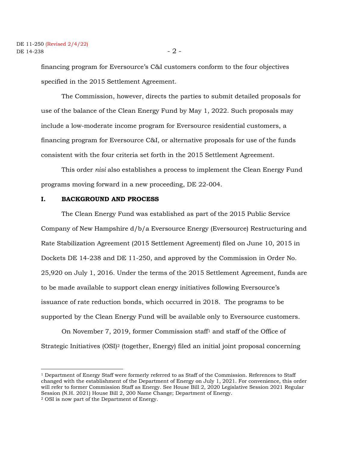financing program for Eversource's C&I customers conform to the four objectives specified in the 2015 Settlement Agreement.

The Commission, however, directs the parties to submit detailed proposals for use of the balance of the Clean Energy Fund by May 1, 2022. Such proposals may include a low-moderate income program for Eversource residential customers, a financing program for Eversource C&I, or alternative proposals for use of the funds consistent with the four criteria set forth in the 2015 Settlement Agreement.

This order *nisi* also establishes a process to implement the Clean Energy Fund programs moving forward in a new proceeding, DE 22-004.

#### **I. BACKGROUND AND PROCESS**

The Clean Energy Fund was established as part of the 2015 Public Service Company of New Hampshire d/b/a Eversource Energy (Eversource) Restructuring and Rate Stabilization Agreement (2015 Settlement Agreement) filed on June 10, 2015 in Dockets DE 14-238 and DE 11-250, and approved by the Commission in Order No. 25,920 on July 1, 2016. Under the terms of the 2015 Settlement Agreement, funds are to be made available to support clean energy initiatives following Eversource's issuance of rate reduction bonds, which occurred in 2018. The programs to be supported by the Clean Energy Fund will be available only to Eversource customers.

On November 7, 2019, former Commission staff<sup>1</sup> and staff of the Office of Strategic Initiatives (OSI)<sup>2</sup> (together, Energy) filed an initial joint proposal concerning

<sup>1</sup> Department of Energy Staff were formerly referred to as Staff of the Commission. References to Staff changed with the establishment of the Department of Energy on July 1, 2021. For convenience, this order will refer to former Commission Staff as Energy. See House Bill 2, 2020 Legislative Session 2021 Regular Session (N.H. 2021) House Bill 2, 200 Name Change; Department of Energy. <sup>2</sup> OSI is now part of the Department of Energy.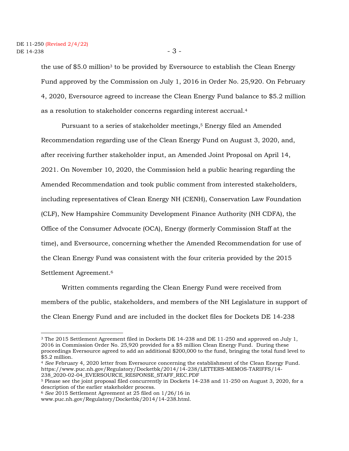the use of \$5.0 million<sup>3</sup> to be provided by Eversource to establish the Clean Energy Fund approved by the Commission on July 1, 2016 in Order No. 25,920. On February 4, 2020, Eversource agreed to increase the Clean Energy Fund balance to \$5.2 million as a resolution to stakeholder concerns regarding interest accrual.<sup>4</sup>

Pursuant to a series of stakeholder meetings, <sup>5</sup> Energy filed an Amended Recommendation regarding use of the Clean Energy Fund on August 3, 2020, and, after receiving further stakeholder input, an Amended Joint Proposal on April 14, 2021. On November 10, 2020, the Commission held a public hearing regarding the Amended Recommendation and took public comment from interested stakeholders, including representatives of Clean Energy NH (CENH), Conservation Law Foundation (CLF), New Hampshire Community Development Finance Authority (NH CDFA), the Office of the Consumer Advocate (OCA), Energy (formerly Commission Staff at the time), and Eversource, concerning whether the Amended Recommendation for use of the Clean Energy Fund was consistent with the four criteria provided by the 2015 Settlement Agreement.<sup>6</sup>

Written comments regarding the Clean Energy Fund were received from members of the public, stakeholders, and members of the NH Legislature in support of the Clean Energy Fund and are included in the docket files for Dockets DE 14-238

<sup>3</sup> The 2015 Settlement Agreement filed in Dockets DE 14-238 and DE 11-250 and approved on July 1, 2016 in Commission Order No. 25,920 provided for a \$5 million Clean Energy Fund. During these proceedings Eversource agreed to add an additional \$200,000 to the fund, bringing the total fund level to \$5.2 million.

<sup>4</sup> *See* February 4, 2020 letter from Eversource concerning the establishment of the Clean Energy Fund. https://www.puc.nh.gov/Regulatory/Docketbk/2014/14-238/LETTERS-MEMOS-TARIFFS/14- 238\_2020-02-04\_EVERSOURCE\_RESPONSE\_STAFF\_REC.PDF

<sup>5</sup> Please see the joint proposal filed concurrently in Dockets 14-238 and 11-250 on August 3, 2020, for a description of the earlier stakeholder process.

<sup>6</sup> *See* 2015 Settlement Agreement at 25 filed on 1/26/16 in

www.puc.nh.gov/Regulatory/Docketbk/2014/14-238.html.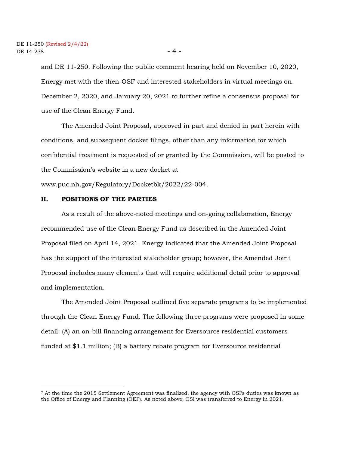and DE 11-250. Following the public comment hearing held on November 10, 2020, Energy met with the then-OSI<sup>7</sup> and interested stakeholders in virtual meetings on December 2, 2020, and January 20, 2021 to further refine a consensus proposal for use of the Clean Energy Fund.

The Amended Joint Proposal, approved in part and denied in part herein with conditions, and subsequent docket filings, other than any information for which confidential treatment is requested of or granted by the Commission, will be posted to the Commission's website in a new docket at

www.puc.nh.gov/Regulatory/Docketbk/2022/22-004.

## **II. POSITIONS OF THE PARTIES**

As a result of the above-noted meetings and on-going collaboration, Energy recommended use of the Clean Energy Fund as described in the Amended Joint Proposal filed on April 14, 2021. Energy indicated that the Amended Joint Proposal has the support of the interested stakeholder group; however, the Amended Joint Proposal includes many elements that will require additional detail prior to approval and implementation.

The Amended Joint Proposal outlined five separate programs to be implemented through the Clean Energy Fund. The following three programs were proposed in some detail: (A) an on-bill financing arrangement for Eversource residential customers funded at \$1.1 million; (B) a battery rebate program for Eversource residential

<sup>7</sup> At the time the 2015 Settlement Agreement was finalized, the agency with OSI's duties was known as the Office of Energy and Planning (OEP). As noted above, OSI was transferred to Energy in 2021.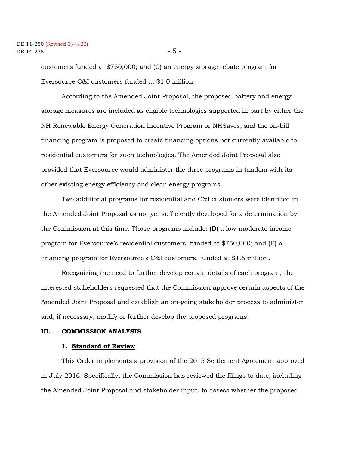#### DE 11-250 (Revised 2/4/22)  $DE$  14-238  $-5$  -

customers funded at \$750,000; and (C) an energy storage rebate program for Eversource C&I customers funded at \$1.0 million.

According to the Amended Joint Proposal, the proposed battery and energy storage measures are included as eligible technologies supported in part by either the NH Renewable Energy Generation Incentive Program or NHSaves, and the on-bill financing program is proposed to create financing options not currently available to residential customers for such technologies. The Amended Joint Proposal also provided that Eversource would administer the three programs in tandem with its other existing energy efficiency and clean energy programs.

Two additional programs for residential and C&I customers were identified in the Amended Joint Proposal as not yet sufficiently developed for a determination by the Commission at this time. Those programs include: (D) a low-moderate income program for Eversource's residential customers, funded at \$750,000; and (E) a financing program for Eversource's C&I customers, funded at \$1.6 million.

Recognizing the need to further develop certain details of each program, the interested stakeholders requested that the Commission approve certain aspects of the Amended Joint Proposal and establish an on-going stakeholder process to administer and, if necessary, modify or further develop the proposed programs.

#### **III. COMMISSION ANALYSIS**

#### **1. Standard of Review**

This Order implements a provision of the 2015 Settlement Agreement approved in July 2016. Specifically, the Commission has reviewed the filings to date, including the Amended Joint Proposal and stakeholder input, to assess whether the proposed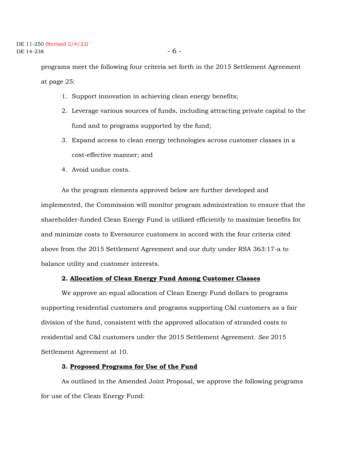programs meet the following four criteria set forth in the 2015 Settlement Agreement at page 25:

- 1. Support innovation in achieving clean energy benefits;
- 2. Leverage various sources of funds, including attracting private capital to the fund and to programs supported by the fund;
- 3. Expand access to clean energy technologies across customer classes in a cost-effective manner; and
- 4. Avoid undue costs.

As the program elements approved below are further developed and implemented, the Commission will monitor program administration to ensure that the shareholder-funded Clean Energy Fund is utilized efficiently to maximize benefits for and minimize costs to Eversource customers in accord with the four criteria cited above from the 2015 Settlement Agreement and our duty under RSA 363:17-a to balance utility and customer interests.

#### **2. Allocation of Clean Energy Fund Among Customer Classes**

We approve an equal allocation of Clean Energy Fund dollars to programs supporting residential customers and programs supporting C&I customers as a fair division of the fund, consistent with the approved allocation of stranded costs to residential and C&I customers under the 2015 Settlement Agreement. *See* 2015 Settlement Agreement at 10.

#### **3. Proposed Programs for Use of the Fund**

As outlined in the Amended Joint Proposal, we approve the following programs for use of the Clean Energy Fund: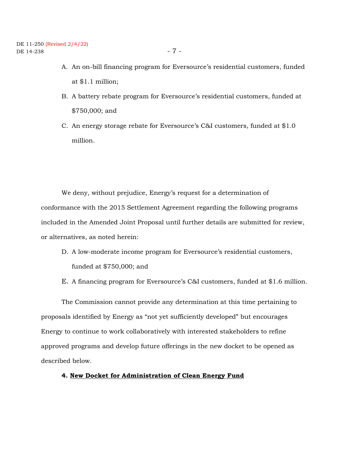- A. An on-bill financing program for Eversource's residential customers, funded at \$1.1 million;
- B. A battery rebate program for Eversource's residential customers, funded at \$750,000; and

C. An energy storage rebate for Eversource's C&I customers, funded at \$1.0 million.

We deny, without prejudice, Energy's request for a determination of conformance with the 2015 Settlement Agreement regarding the following programs included in the Amended Joint Proposal until further details are submitted for review, or alternatives, as noted herein:

- D. A low-moderate income program for Eversource's residential customers, funded at \$750,000; and
- E. A financing program for Eversource's C&I customers, funded at \$1.6 million.

The Commission cannot provide any determination at this time pertaining to proposals identified by Energy as "not yet sufficiently developed" but encourages Energy to continue to work collaboratively with interested stakeholders to refine approved programs and develop future offerings in the new docket to be opened as described below.

## **4. New Docket for Administration of Clean Energy Fund**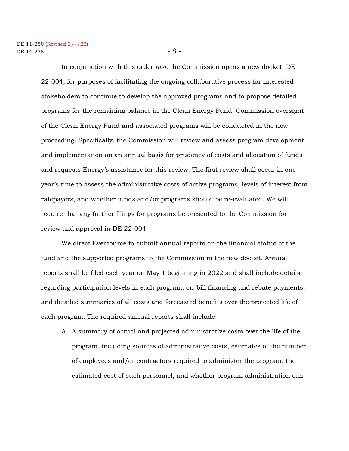In conjunction with this order *nisi*, the Commission opens a new docket, DE 22-004, for purposes of facilitating the ongoing collaborative process for interested stakeholders to continue to develop the approved programs and to propose detailed programs for the remaining balance in the Clean Energy Fund. Commission oversight of the Clean Energy Fund and associated programs will be conducted in the new proceeding. Specifically, the Commission will review and assess program development and implementation on an annual basis for prudency of costs and allocation of funds and requests Energy's assistance for this review. The first review shall occur in one year's time to assess the administrative costs of active programs, levels of interest from ratepayers, and whether funds and/or programs should be re-evaluated. We will require that any further filings for programs be presented to the Commission for review and approval in DE 22-004.

We direct Eversource to submit annual reports on the financial status of the fund and the supported programs to the Commission in the new docket. Annual reports shall be filed each year on May 1 beginning in 2022 and shall include details regarding participation levels in each program, on-bill financing and rebate payments, and detailed summaries of all costs and forecasted benefits over the projected life of each program. The required annual reports shall include:

A. A summary of actual and projected administrative costs over the life of the program, including sources of administrative costs, estimates of the number of employees and/or contractors required to administer the program, the estimated cost of such personnel, and whether program administration can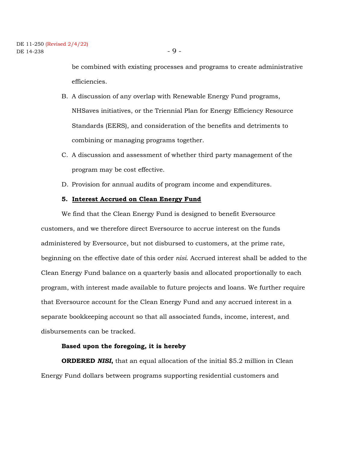be combined with existing processes and programs to create administrative efficiencies.

- B. A discussion of any overlap with Renewable Energy Fund programs, NHSaves initiatives, or the Triennial Plan for Energy Efficiency Resource Standards (EERS), and consideration of the benefits and detriments to combining or managing programs together.
- C. A discussion and assessment of whether third party management of the program may be cost effective.
- D. Provision for annual audits of program income and expenditures.

#### **5. Interest Accrued on Clean Energy Fund**

We find that the Clean Energy Fund is designed to benefit Eversource customers, and we therefore direct Eversource to accrue interest on the funds administered by Eversource, but not disbursed to customers, at the prime rate, beginning on the effective date of this order *nisi*. Accrued interest shall be added to the Clean Energy Fund balance on a quarterly basis and allocated proportionally to each program, with interest made available to future projects and loans. We further require that Eversource account for the Clean Energy Fund and any accrued interest in a separate bookkeeping account so that all associated funds, income, interest, and disbursements can be tracked.

#### **Based upon the foregoing, it is hereby**

**ORDERED** *NISI***,** that an equal allocation of the initial \$5.2 million in Clean Energy Fund dollars between programs supporting residential customers and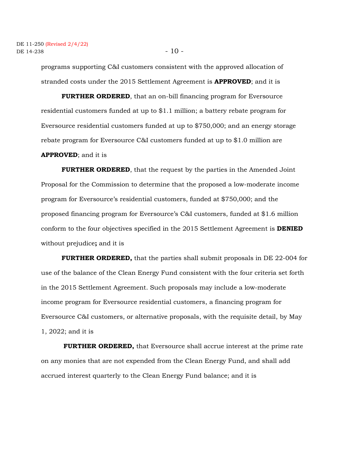programs supporting C&I customers consistent with the approved allocation of stranded costs under the 2015 Settlement Agreement is **APPROVED**; and it is

**FURTHER ORDERED**, that an on-bill financing program for Eversource residential customers funded at up to \$1.1 million; a battery rebate program for Eversource residential customers funded at up to \$750,000; and an energy storage rebate program for Eversource C&I customers funded at up to \$1.0 million are **APPROVED**; and it is

**FURTHER ORDERED**, that the request by the parties in the Amended Joint Proposal for the Commission to determine that the proposed a low-moderate income program for Eversource's residential customers, funded at \$750,000; and the proposed financing program for Eversource's C&I customers, funded at \$1.6 million conform to the four objectives specified in the 2015 Settlement Agreement is **DENIED** without prejudice**;** and it is

**FURTHER ORDERED,** that the parties shall submit proposals in DE 22-004 for use of the balance of the Clean Energy Fund consistent with the four criteria set forth in the 2015 Settlement Agreement. Such proposals may include a low-moderate income program for Eversource residential customers, a financing program for Eversource C&I customers, or alternative proposals, with the requisite detail, by May 1, 2022; and it is

**FURTHER ORDERED,** that Eversource shall accrue interest at the prime rate on any monies that are not expended from the Clean Energy Fund, and shall add accrued interest quarterly to the Clean Energy Fund balance; and it is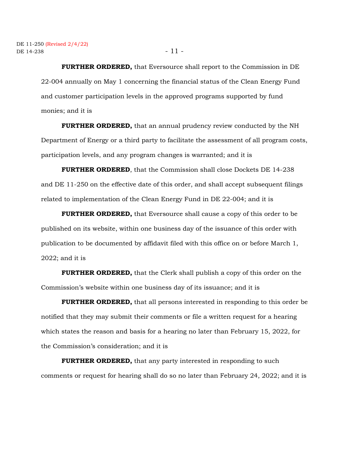**FURTHER ORDERED,** that Eversource shall report to the Commission in DE 22-004 annually on May 1 concerning the financial status of the Clean Energy Fund and customer participation levels in the approved programs supported by fund monies; and it is

**FURTHER ORDERED,** that an annual prudency review conducted by the NH Department of Energy or a third party to facilitate the assessment of all program costs, participation levels, and any program changes is warranted; and it is

**FURTHER ORDERED**, that the Commission shall close Dockets DE 14-238 and DE 11-250 on the effective date of this order, and shall accept subsequent filings related to implementation of the Clean Energy Fund in DE 22-004; and it is

**FURTHER ORDERED,** that Eversource shall cause a copy of this order to be published on its website, within one business day of the issuance of this order with publication to be documented by affidavit filed with this office on or before March 1, 2022; and it is

**FURTHER ORDERED,** that the Clerk shall publish a copy of this order on the Commission's website within one business day of its issuance; and it is

**FURTHER ORDERED,** that all persons interested in responding to this order be notified that they may submit their comments or file a written request for a hearing which states the reason and basis for a hearing no later than February 15, 2022, for the Commission's consideration; and it is

**FURTHER ORDERED,** that any party interested in responding to such comments or request for hearing shall do so no later than February 24, 2022; and it is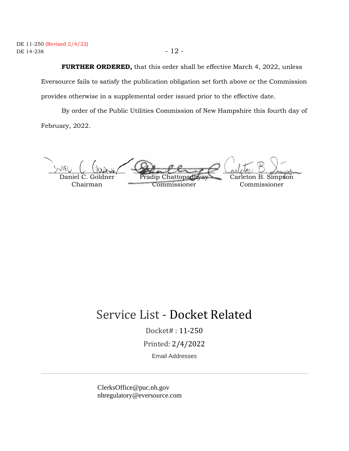## **FURTHER ORDERED,** that this order shall be effective March 4, 2022, unless

Eversource fails to satisfy the publication obligation set forth above or the Commission provides otherwise in a supplemental order issued prior to the effective date.

By order of the Public Utilities Commission of New Hampshire this fourth day of February, 2022.

Daniel C. Goldner Chairman Pradip Chattopad Commissioner Carleton B. Simpson Commissioner  $\sim$ IEI )N116

# Service List - Docket Related

Docket# : 11-250

Printed: 2/4/2022

Email Addresses

ClerksOffice@puc.nh.gov nhregulatory@eversource.com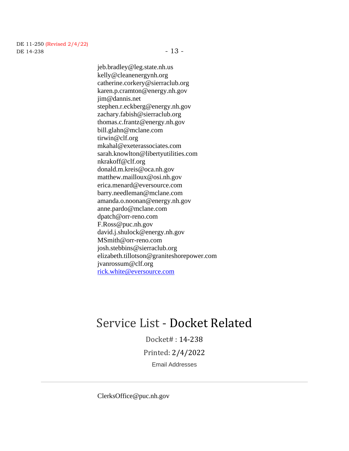jeb.bradley@leg.state.nh.us kelly@cleanenergynh.org catherine.corkery@sierraclub.org karen.p.cramton@energy.nh.gov jim@dannis.net stephen.r.eckberg@energy.nh.gov zachary.fabish@sierraclub.org thomas.c.frantz@energy.nh.gov bill.glahn@mclane.com tirwin@clf.org mkahal@exeterassociates.com sarah.knowlton@libertyutilities.com nkrakoff@clf.org donald.m.kreis@oca.nh.gov matthew.mailloux@osi.nh.gov erica.menard@eversource.com barry.needleman@mclane.com amanda.o.noonan@energy.nh.gov anne.pardo@mclane.com dpatch@orr-reno.com F.Ross@puc.nh.gov david.j.shulock@energy.nh.gov MSmith@orr-reno.com josh.stebbins@sierraclub.org elizabeth.tillotson@graniteshorepower.com jvanrossum@clf.org [rick.white@eversource.com](mailto:rick.white@eversource.com)

# Service List - Docket Related

Docket# : 14-238 Printed: 2/4/2022 Email Addresses

ClerksOffice@puc.nh.gov